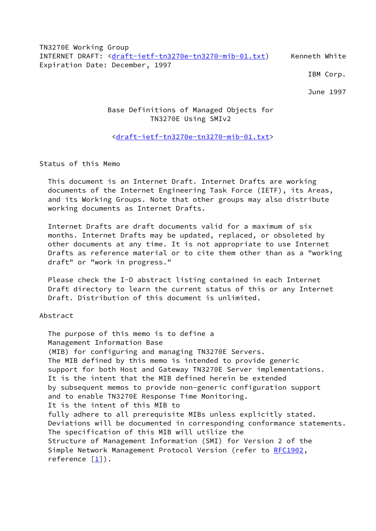TN3270E Working Group INTERNET DRAFT: [<draft-ietf-tn3270e-tn3270-mib-01.txt](https://datatracker.ietf.org/doc/pdf/draft-ietf-tn3270e-tn3270-mib-01.txt)) Kenneth White Expiration Date: December, 1997

IBM Corp.

June 1997

# Base Definitions of Managed Objects for TN3270E Using SMIv2

# <[draft-ietf-tn3270e-tn3270-mib-01.txt>](https://datatracker.ietf.org/doc/pdf/draft-ietf-tn3270e-tn3270-mib-01.txt)

Status of this Memo

 This document is an Internet Draft. Internet Drafts are working documents of the Internet Engineering Task Force (IETF), its Areas, and its Working Groups. Note that other groups may also distribute working documents as Internet Drafts.

 Internet Drafts are draft documents valid for a maximum of six months. Internet Drafts may be updated, replaced, or obsoleted by other documents at any time. It is not appropriate to use Internet Drafts as reference material or to cite them other than as a "working draft" or "work in progress."

 Please check the I-D abstract listing contained in each Internet Draft directory to learn the current status of this or any Internet Draft. Distribution of this document is unlimited.

## Abstract

 The purpose of this memo is to define a Management Information Base (MIB) for configuring and managing TN3270E Servers. The MIB defined by this memo is intended to provide generic support for both Host and Gateway TN3270E Server implementations. It is the intent that the MIB defined herein be extended by subsequent memos to provide non-generic configuration support and to enable TN3270E Response Time Monitoring. It is the intent of this MIB to fully adhere to all prerequisite MIBs unless explicitly stated. Deviations will be documented in corresponding conformance statements. The specification of this MIB will utilize the Structure of Management Information (SMI) for Version 2 of the Simple Network Management Protocol Version (refer to [RFC1902,](https://datatracker.ietf.org/doc/pdf/rfc1902) reference  $[\underline{1}]$ ).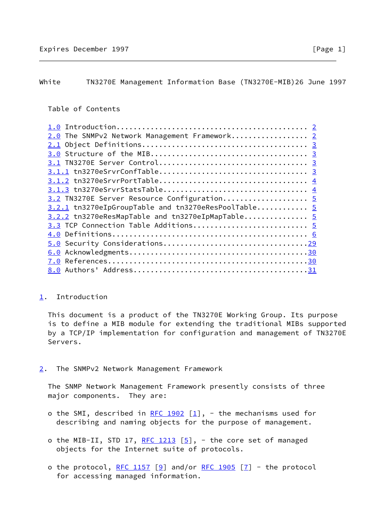## <span id="page-1-0"></span>White TN3270E Management Information Base (TN3270E-MIB)26 June 1997

## Table of Contents

| 2.0 The SNMPv2 Network Management Framework 2       |  |
|-----------------------------------------------------|--|
|                                                     |  |
|                                                     |  |
|                                                     |  |
|                                                     |  |
|                                                     |  |
|                                                     |  |
| 3.2 TN3270E Server Resource Configuration 5         |  |
| 3.2.1 tn3270eIpGroupTable and tn3270eResPoolTable 5 |  |
| 3.2.2 tn3270eResMapTable and tn3270eIpMapTable 5    |  |
| 3.3 TCP Connection Table Additions 5                |  |
|                                                     |  |
|                                                     |  |
|                                                     |  |
|                                                     |  |
|                                                     |  |
|                                                     |  |

### <span id="page-1-1"></span>[1](#page-1-1). Introduction

 This document is a product of the TN3270E Working Group. Its purpose is to define a MIB module for extending the traditional MIBs supported by a TCP/IP implementation for configuration and management of TN3270E Servers.

<span id="page-1-2"></span>[2](#page-1-2). The SNMPv2 Network Management Framework

 The SNMP Network Management Framework presently consists of three major components. They are:

- o the SMI, described in [RFC 1902](https://datatracker.ietf.org/doc/pdf/rfc1902)  $[1]$  $[1]$ , the mechanisms used for describing and naming objects for the purpose of management.
- o the MIB-II, STD 17, [RFC 1213](https://datatracker.ietf.org/doc/pdf/rfc1213)  $[5]$  $[5]$ , the core set of managed objects for the Internet suite of protocols.
- o the protocol, [RFC 1157](https://datatracker.ietf.org/doc/pdf/rfc1157)  $[9]$  $[9]$  and/or [RFC 1905](https://datatracker.ietf.org/doc/pdf/rfc1905)  $[7]$  $[7]$  the protocol for accessing managed information.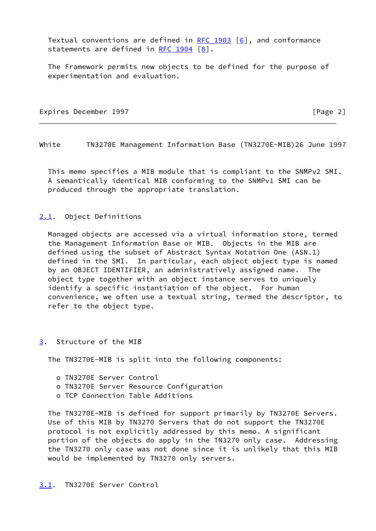Textual conventions are defined in RFC  $1903$  [[6\]](#page-33-3), and conformance statements are defined in RFC  $1904$   $[8]$  $[8]$ .

 The Framework permits new objects to be defined for the purpose of experimentation and evaluation.

Expires December 1997 **Expires**  $\lceil \text{Page 2} \rceil$ 

<span id="page-2-1"></span>White TN3270E Management Information Base (TN3270E-MIB)26 June 1997

 This memo specifies a MIB module that is compliant to the SNMPv2 SMI. A semantically identical MIB conforming to the SNMPv1 SMI can be produced through the appropriate translation.

### <span id="page-2-0"></span>[2.1](#page-2-0). Object Definitions

 Managed objects are accessed via a virtual information store, termed the Management Information Base or MIB. Objects in the MIB are defined using the subset of Abstract Syntax Notation One (ASN.1) defined in the SMI. In particular, each object object type is named by an OBJECT IDENTIFIER, an administratively assigned name. The object type together with an object instance serves to uniquely identify a specific instantiation of the object. For human convenience, we often use a textual string, termed the descriptor, to refer to the object type.

#### <span id="page-2-3"></span>[3](#page-2-3). Structure of the MIB

The TN3270E-MIB is split into the following components:

- o TN3270E Server Control
- o TN3270E Server Resource Configuration
- o TCP Connection Table Additions

<span id="page-2-2"></span> The TN3270E-MIB is defined for support primarily by TN3270E Servers. Use of this MIB by TN3270 Servers that do not support the TN3270E protocol is not explicitly addressed by this memo. A significant portion of the objects do apply in the TN3270 only case. Addressing the TN3270 only case was not done since it is unlikely that this MIB would be implemented by TN3270 only servers.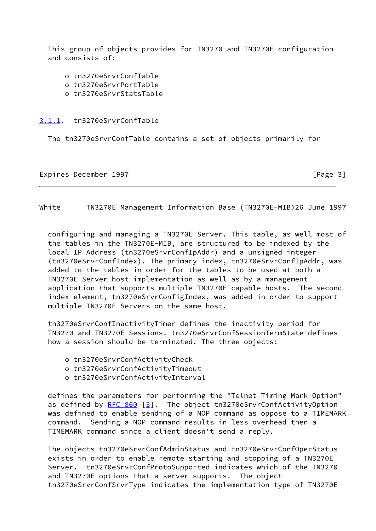This group of objects provides for TN3270 and TN3270E configuration and consists of:

- o tn3270eSrvrConfTable o tn3270eSrvrPortTable
- o tn3270eSrvrStatsTable

### <span id="page-3-0"></span>[3.1.1](#page-3-0). tn3270eSrvrConfTable

The tn3270eSrvrConfTable contains a set of objects primarily for

Expires December 1997 **Expires**  $\left[\text{Page 3}\right]$ 

<span id="page-3-1"></span>White TN3270E Management Information Base (TN3270E-MIB)26 June 1997

 configuring and managing a TN3270E Server. This table, as well most of the tables in the TN3270E-MIB, are structured to be indexed by the local IP Address (tn3270eSrvrConfIpAddr) and a unsigned integer (tn3270eSrvrConfIndex). The primary index, tn3270eSrvrConfIpAddr, was added to the tables in order for the tables to be used at both a TN3270E Server host implementation as well as by a management application that supports multiple TN3270E capable hosts. The second index element, tn3270eSrvrConfigIndex, was added in order to support multiple TN3270E Servers on the same host.

 tn3270eSrvrConfInactivityTimer defines the inactivity period for TN3270 and TN3270E Sessions. tn3270eSrvrConfSessionTermState defines how a session should be terminated. The three objects:

- o tn3270eSrvrConfActivityCheck
- o tn3270eSrvrConfActivityTimeout
- o tn3270eSrvrConfActivityInterval

 defines the parameters for performing the "Telnet Timing Mark Option" as defined by  $RFC 860 [3]$  $RFC 860 [3]$ . The object tn3270eSrvrConfActivityOption was defined to enable sending of a NOP command as oppose to a TIMEMARK command. Sending a NOP command results in less overhead then a TIMEMARK command since a client doesn't send a reply.

 The objects tn3270eSrvrConfAdminStatus and tn3270eSrvrConfOperStatus exists in order to enable remote starting and stopping of a TN3270E Server. tn3270eSrvrConfProtoSupported indicates which of the TN3270 and TN3270E options that a server supports. The object tn3270eSrvrConfSrvrType indicates the implementation type of TN3270E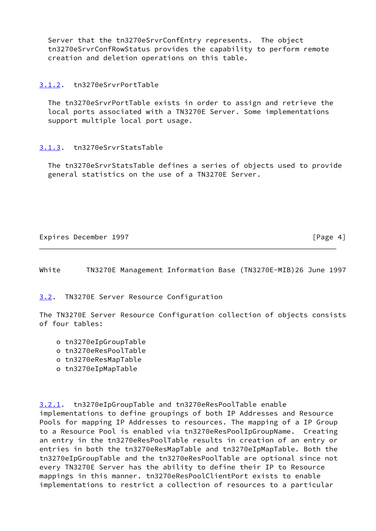Server that the tn3270eSrvrConfEntry represents. The object tn3270eSrvrConfRowStatus provides the capability to perform remote creation and deletion operations on this table.

# <span id="page-4-0"></span>[3.1.2](#page-4-0). tn3270eSrvrPortTable

 The tn3270eSrvrPortTable exists in order to assign and retrieve the local ports associated with a TN3270E Server. Some implementations support multiple local port usage.

# <span id="page-4-1"></span>[3.1.3](#page-4-1). tn3270eSrvrStatsTable

 The tn3270eSrvrStatsTable defines a series of objects used to provide general statistics on the use of a TN3270E Server.

Expires December 1997 **Expires**  $\left[\text{Page 4}\right]$ 

<span id="page-4-3"></span>White TN3270E Management Information Base (TN3270E-MIB)26 June 1997

<span id="page-4-2"></span>[3.2](#page-4-2). TN3270E Server Resource Configuration

The TN3270E Server Resource Configuration collection of objects consists of four tables:

- o tn3270eIpGroupTable
- o tn3270eResPoolTable
- o tn3270eResMapTable
- o tn3270eIpMapTable

<span id="page-4-4"></span>[3.2.1](#page-4-4). tn3270eIpGroupTable and tn3270eResPoolTable enable implementations to define groupings of both IP Addresses and Resource Pools for mapping IP Addresses to resources. The mapping of a IP Group to a Resource Pool is enabled via tn3270eResPoolIpGroupName. Creating an entry in the tn3270eResPoolTable results in creation of an entry or entries in both the tn3270eResMapTable and tn3270eIpMapTable. Both the tn3270eIpGroupTable and the tn3270eResPoolTable are optional since not every TN3270E Server has the ability to define their IP to Resource mappings in this manner. tn3270eResPoolClientPort exists to enable implementations to restrict a collection of resources to a particular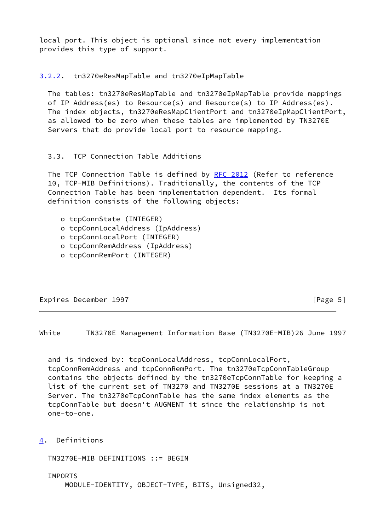local port. This object is optional since not every implementation provides this type of support.

<span id="page-5-0"></span>[3.2.2](#page-5-0). tn3270eResMapTable and tn3270eIpMapTable

 The tables: tn3270eResMapTable and tn3270eIpMapTable provide mappings of IP Address(es) to Resource(s) and Resource(s) to IP Address(es). The index objects, tn3270eResMapClientPort and tn3270eIpMapClientPort, as allowed to be zero when these tables are implemented by TN3270E Servers that do provide local port to resource mapping.

# 3.3. TCP Connection Table Additions

 The TCP Connection Table is defined by [RFC 2012](https://datatracker.ietf.org/doc/pdf/rfc2012) (Refer to reference 10, TCP-MIB Definitions). Traditionally, the contents of the TCP Connection Table has been implementation dependent. Its formal definition consists of the following objects:

- o tcpConnState (INTEGER)
- o tcpConnLocalAddress (IpAddress)
- o tcpConnLocalPort (INTEGER)
- o tcpConnRemAddress (IpAddress)
- o tcpConnRemPort (INTEGER)

Expires December 1997 **Expires**  $\lceil \text{Page 5} \rceil$ 

<span id="page-5-1"></span>White TN3270E Management Information Base (TN3270E-MIB)26 June 1997

 and is indexed by: tcpConnLocalAddress, tcpConnLocalPort, tcpConnRemAddress and tcpConnRemPort. The tn3270eTcpConnTableGroup contains the objects defined by the tn3270eTcpConnTable for keeping a list of the current set of TN3270 and TN3270E sessions at a TN3270E Server. The tn3270eTcpConnTable has the same index elements as the tcpConnTable but doesn't AUGMENT it since the relationship is not one-to-one.

<span id="page-5-2"></span>[4](#page-5-2). Definitions

TN3270E-MIB DEFINITIONS ::= BEGIN

 IMPORTS MODULE-IDENTITY, OBJECT-TYPE, BITS, Unsigned32,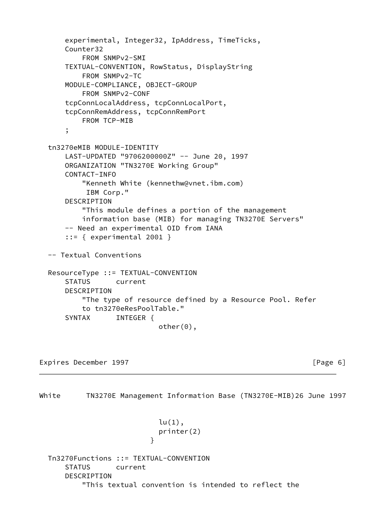```
 experimental, Integer32, IpAddress, TimeTicks,
     Counter32
         FROM SNMPv2-SMI
     TEXTUAL-CONVENTION, RowStatus, DisplayString
         FROM SNMPv2-TC
     MODULE-COMPLIANCE, OBJECT-GROUP
         FROM SNMPv2-CONF
     tcpConnLocalAddress, tcpConnLocalPort,
     tcpConnRemAddress, tcpConnRemPort
         FROM TCP-MIB
     ;
 tn3270eMIB MODULE-IDENTITY
     LAST-UPDATED "9706200000Z" -- June 20, 1997
     ORGANIZATION "TN3270E Working Group"
     CONTACT-INFO
         "Kenneth White (kennethw@vnet.ibm.com)
          IBM Corp."
     DESCRIPTION
         "This module defines a portion of the management
         information base (MIB) for managing TN3270E Servers"
     -- Need an experimental OID from IANA
     ::= { experimental 2001 }
 -- Textual Conventions
 ResourceType ::= TEXTUAL-CONVENTION
     STATUS current
     DESCRIPTION
         "The type of resource defined by a Resource Pool. Refer
         to tn3270eResPoolTable."
    SYNTAX INTEGER {
                            other(0),
```
Expires December 1997 **Expires**  $\left[$  Page 6]

}

White TN3270E Management Information Base (TN3270E-MIB)26 June 1997 lu(1),

```
 Tn3270Functions ::= TEXTUAL-CONVENTION
     STATUS current
     DESCRIPTION
         "This textual convention is intended to reflect the
```
printer(2)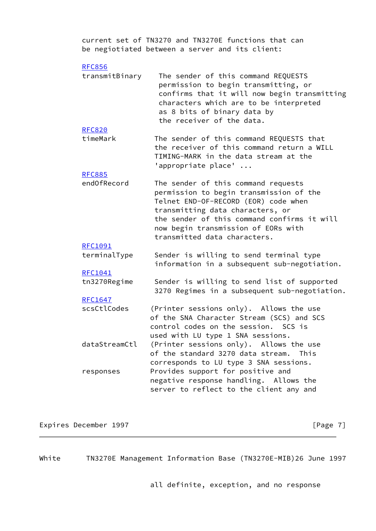current set of TN3270 and TN3270E functions that can be negiotiated between a server and its client:

| <b>RFC856</b> |  |
|---------------|--|
|---------------|--|

| transmitBinary | The sender of this command REQUESTS          |
|----------------|----------------------------------------------|
|                | permission to begin transmitting, or         |
|                | confirms that it will now begin transmitting |
|                | characters which are to be interpreted       |
|                | as 8 bits of binary data by                  |
|                | the receiver of the data.                    |

- [RFC820](https://datatracker.ietf.org/doc/pdf/rfc820)
- timeMark The sender of this command REQUESTS that the receiver of this command return a WILL TIMING-MARK in the data stream at the 'appropriate place' ...

#### [RFC885](https://datatracker.ietf.org/doc/pdf/rfc885)

 endOfRecord The sender of this command requests permission to begin transmission of the Telnet END-OF-RECORD (EOR) code when transmitting data characters, or the sender of this command confirms it will now begin transmission of EORs with transmitted data characters.

#### [RFC1091](https://datatracker.ietf.org/doc/pdf/rfc1091)

 terminalType Sender is willing to send terminal type information in a subsequent sub-negotiation.

#### [RFC1041](https://datatracker.ietf.org/doc/pdf/rfc1041)

| tn3270Regime | Sender is willing to send list of supported   |
|--------------|-----------------------------------------------|
|              | 3270 Regimes in a subsequent sub-negotiation. |

### [RFC1647](https://datatracker.ietf.org/doc/pdf/rfc1647)

| scsCtlCodes | (Printer sessions only). Allows the use               |
|-------------|-------------------------------------------------------|
|             | of the SNA Character Stream (SCS) and SCS             |
|             | control codes on the session. SCS is                  |
|             | used with LU type 1 SNA sessions.                     |
|             | dataStreamCtl (Printer sessions only). Allows the use |
|             | of the standard 3270 data stream. This                |
|             | corresponds to LU type 3 SNA sessions.                |

| responses | Provides support for positive and       |  |
|-----------|-----------------------------------------|--|
|           | negative response handling. Allows the  |  |
|           | server to reflect to the client any and |  |

Expires December 1997 **Expires** December 1997

White TN3270E Management Information Base (TN3270E-MIB)26 June 1997

all definite, exception, and no response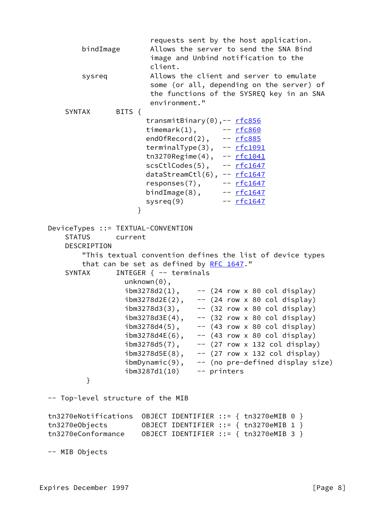| bindImage                                                                                                                                                                                                                                                                                                                                                                                                                                                                                                                                                    | requests sent by the host application.<br>Allows the server to send the SNA Bind<br>image and Unbind notification to the<br>client.                                                                                                                                                                                                                                                                                                                                                                                                                                                    |  |
|--------------------------------------------------------------------------------------------------------------------------------------------------------------------------------------------------------------------------------------------------------------------------------------------------------------------------------------------------------------------------------------------------------------------------------------------------------------------------------------------------------------------------------------------------------------|----------------------------------------------------------------------------------------------------------------------------------------------------------------------------------------------------------------------------------------------------------------------------------------------------------------------------------------------------------------------------------------------------------------------------------------------------------------------------------------------------------------------------------------------------------------------------------------|--|
| sysreq                                                                                                                                                                                                                                                                                                                                                                                                                                                                                                                                                       | Allows the client and server to emulate<br>some (or all, depending on the server) of<br>the functions of the SYSREQ key in an SNA<br>environment."                                                                                                                                                                                                                                                                                                                                                                                                                                     |  |
| <b>SYNTAX</b><br>BITS {<br>transmitBinary(0),-- rfc856<br>timemark $(1)$ , $-$ rfc860<br>$endOfRecord(2)$ , $--\rceil$ rfc885<br>terminalType(3), -- rfc1091<br>tn3270Regime(4), $-$ rfc1041<br>$scsCtlcodes(5)$ , -- $rfc1647$<br>dataStreamCtl(6), -- rfc1647<br>responses $(7)$ , $ rfc1647$<br>bindImage(8), $ rfc1647$<br>-- <u>rfc1647</u><br>sysreq(9)<br>}<br>DeviceTypes ::= TEXTUAL-CONVENTION<br><b>STATUS</b><br>current<br>DESCRIPTION<br>"This textual convention defines the list of device types<br>that can be set as defined by RFC 1647." |                                                                                                                                                                                                                                                                                                                                                                                                                                                                                                                                                                                        |  |
| <b>SYNTAX</b><br>$unknown(0)$ ,                                                                                                                                                                                                                                                                                                                                                                                                                                                                                                                              | INTEGER $\{- -$ terminals<br>$ibm3278d2(1)$ , -- (24 row x 80 col display)<br>$ibm3278d2E(2)$ , -- (24 row x 80 col display)<br>$ibm3278d3(3)$ , -- $(32 row \times 80 col display)$ display)<br>$ibm3278d3E(4)$ , -- $(32 row \times 80 col display)$ display)<br>ibm3278d4(5),<br>$-$ (43 row x 80 col display)<br>$- -$ (43 row x 80 col display)<br>$ibm3278d4E(6)$ ,<br>ibm3278d5(7),<br>$-$ (27 row x 132 col display)<br>$ibm3278d5E(8)$ ,<br>$--$ (27 row x 132 col display)<br>$\mathsf{ibmDynamic}(9)$ ,<br>-- (no pre-defined display size)<br>ibm3287d1(10)<br>-- printers |  |
| }                                                                                                                                                                                                                                                                                                                                                                                                                                                                                                                                                            |                                                                                                                                                                                                                                                                                                                                                                                                                                                                                                                                                                                        |  |
| -- Top-level structure of the MIB<br>tn3270eNotifications<br>tn3270e0bjects<br>tn3270eConformance<br>-- MIB Objects                                                                                                                                                                                                                                                                                                                                                                                                                                          | OBJECT IDENTIFIER ::= { tn3270eMIB 0 }<br>OBJECT IDENTIFIER ::= { tn3270eMIB 1 }<br>OBJECT IDENTIFIER ::= { tn3270eMIB 3 }                                                                                                                                                                                                                                                                                                                                                                                                                                                             |  |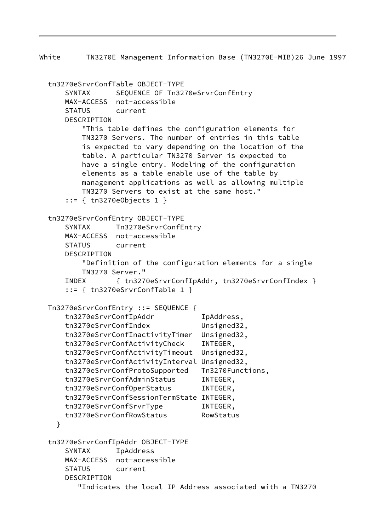White TN3270E Management Information Base (TN3270E-MIB)26 June 1997 tn3270eSrvrConfTable OBJECT-TYPE SYNTAX SEQUENCE OF Tn3270eSrvrConfEntry MAX-ACCESS not-accessible STATUS current DESCRIPTION "This table defines the configuration elements for TN3270 Servers. The number of entries in this table is expected to vary depending on the location of the table. A particular TN3270 Server is expected to have a single entry. Modeling of the configuration elements as a table enable use of the table by management applications as well as allowing multiple TN3270 Servers to exist at the same host." ::= { tn3270eObjects 1 } tn3270eSrvrConfEntry OBJECT-TYPE SYNTAX Tn3270eSrvrConfEntry MAX-ACCESS not-accessible STATUS current DESCRIPTION "Definition of the configuration elements for a single TN3270 Server." INDEX { tn3270eSrvrConfIpAddr, tn3270eSrvrConfIndex } ::= { tn3270eSrvrConfTable 1 } Tn3270eSrvrConfEntry ::= SEQUENCE { tn3270eSrvrConfIpAddr IpAddress, tn3270eSrvrConfIndex Unsigned32, tn3270eSrvrConfInactivityTimer Unsigned32, tn3270eSrvrConfActivityCheck INTEGER, tn3270eSrvrConfActivityTimeout Unsigned32, tn3270eSrvrConfActivityInterval Unsigned32, tn3270eSrvrConfProtoSupported Tn3270Functions, tn3270eSrvrConfAdminStatus INTEGER, tn3270eSrvrConfOperStatus INTEGER, tn3270eSrvrConfSessionTermState INTEGER, tn3270eSrvrConfSrvrType INTEGER, tn3270eSrvrConfRowStatus RowStatus } tn3270eSrvrConfIpAddr OBJECT-TYPE SYNTAX IpAddress MAX-ACCESS not-accessible STATUS current DESCRIPTION "Indicates the local IP Address associated with a TN3270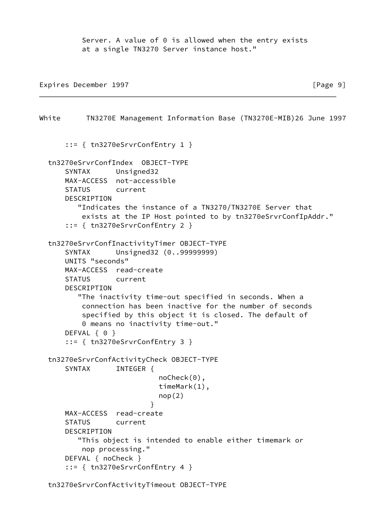Server. A value of 0 is allowed when the entry exists at a single TN3270 Server instance host."

Expires December 1997 **Expires** December 1997

White TN3270E Management Information Base (TN3270E-MIB)26 June 1997 ::= { tn3270eSrvrConfEntry 1 } tn3270eSrvrConfIndex OBJECT-TYPE SYNTAX Unsigned32 MAX-ACCESS not-accessible STATUS current DESCRIPTION "Indicates the instance of a TN3270/TN3270E Server that exists at the IP Host pointed to by tn3270eSrvrConfIpAddr." ::= { tn3270eSrvrConfEntry 2 } tn3270eSrvrConfInactivityTimer OBJECT-TYPE SYNTAX Unsigned32 (0..99999999) UNITS "seconds" MAX-ACCESS read-create STATUS current DESCRIPTION "The inactivity time-out specified in seconds. When a connection has been inactive for the number of seconds specified by this object it is closed. The default of 0 means no inactivity time-out." DEFVAL { 0 } ::= { tn3270eSrvrConfEntry 3 } tn3270eSrvrConfActivityCheck OBJECT-TYPE SYNTAX INTEGER { noCheck(0), timeMark(1),  $nop(2)$  } MAX-ACCESS read-create STATUS current DESCRIPTION "This object is intended to enable either timemark or nop processing." DEFVAL { noCheck } ::= { tn3270eSrvrConfEntry 4 } tn3270eSrvrConfActivityTimeout OBJECT-TYPE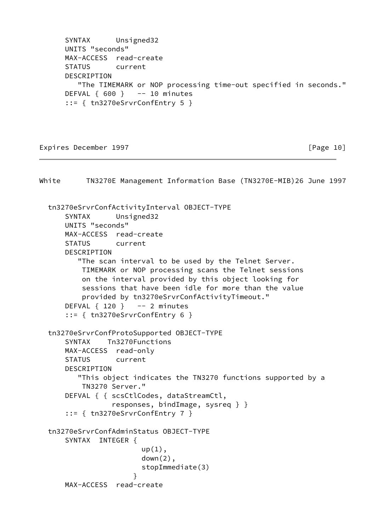SYNTAX Unsigned32 UNITS "seconds" MAX-ACCESS read-create STATUS current DESCRIPTION "The TIMEMARK or NOP processing time-out specified in seconds." DEFVAL  $\{600\}$  -- 10 minutes ::= { tn3270eSrvrConfEntry 5 }

### Expires December 1997 **Expires** December 1997

White TN3270E Management Information Base (TN3270E-MIB)26 June 1997 tn3270eSrvrConfActivityInterval OBJECT-TYPE SYNTAX Unsigned32 UNITS "seconds" MAX-ACCESS read-create STATUS current DESCRIPTION "The scan interval to be used by the Telnet Server. TIMEMARK or NOP processing scans the Telnet sessions on the interval provided by this object looking for sessions that have been idle for more than the value provided by tn3270eSrvrConfActivityTimeout." DEFVAL  $\{ 120 \}$  -- 2 minutes ::= { tn3270eSrvrConfEntry 6 } tn3270eSrvrConfProtoSupported OBJECT-TYPE SYNTAX Tn3270Functions MAX-ACCESS read-only STATUS current DESCRIPTION "This object indicates the TN3270 functions supported by a TN3270 Server." DEFVAL { { scsCtlCodes, dataStreamCtl, responses, bindImage, sysreq } } ::= { tn3270eSrvrConfEntry 7 } tn3270eSrvrConfAdminStatus OBJECT-TYPE SYNTAX INTEGER {  $up(1)$ , down(2), stopImmediate(3) } MAX-ACCESS read-create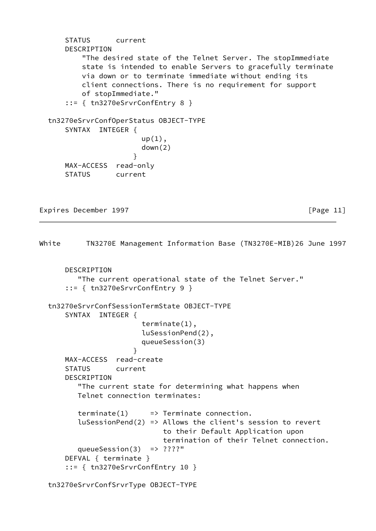```
 STATUS current
      DESCRIPTION
          "The desired state of the Telnet Server. The stopImmediate
          state is intended to enable Servers to gracefully terminate
          via down or to terminate immediate without ending its
          client connections. There is no requirement for support
          of stopImmediate."
      ::= { tn3270eSrvrConfEntry 8 }
  tn3270eSrvrConfOperStatus OBJECT-TYPE
      SYNTAX INTEGER {
                       up(1),
                        down(2)
 }
      MAX-ACCESS read-only
      STATUS current
```
Expires December 1997 **Expires**  $\lceil \text{Page 11} \rceil$ 

```
White TN3270E Management Information Base (TN3270E-MIB)26 June 1997
       DESCRIPTION
          "The current operational state of the Telnet Server."
       ::= { tn3270eSrvrConfEntry 9 }
   tn3270eSrvrConfSessionTermState OBJECT-TYPE
       SYNTAX INTEGER {
                         terminate(1),
                         luSessionPend(2),
                         queueSession(3)
 }
       MAX-ACCESS read-create
       STATUS current
       DESCRIPTION
          "The current state for determining what happens when
          Telnet connection terminates:
         \text{terminate}(1) \implies \text{Terminate} \text{ connection}. luSessionPend(2) => Allows the client's session to revert
                              to their Default Application upon
                              termination of their Telnet connection.
          queueSession(3) => ????"
       DEFVAL { terminate }
       ::= { tn3270eSrvrConfEntry 10 }
```
tn3270eSrvrConfSrvrType OBJECT-TYPE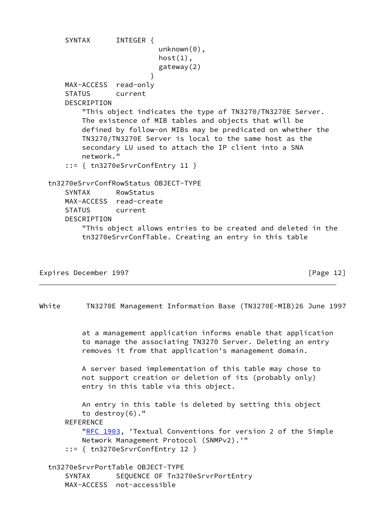SYNTAX INTEGER { unknown(0),  $host(1)$ , gateway(2) } MAX-ACCESS read-only STATUS current DESCRIPTION "This object indicates the type of TN3270/TN3270E Server. The existence of MIB tables and objects that will be defined by follow-on MIBs may be predicated on whether the TN3270/TN3270E Server is local to the same host as the secondary LU used to attach the IP client into a SNA network." ::= { tn3270eSrvrConfEntry 11 } tn3270eSrvrConfRowStatus OBJECT-TYPE SYNTAX RowStatus MAX-ACCESS read-create STATUS current DESCRIPTION "This object allows entries to be created and deleted in the tn3270eSrvrConfTable. Creating an entry in this table

```
Expires December 1997 Expires December 1997
```
White TN3270E Management Information Base (TN3270E-MIB)26 June 1997

 at a management application informs enable that application to manage the associating TN3270 Server. Deleting an entry removes it from that application's management domain.

 A server based implementation of this table may chose to not support creation or deletion of its (probably only) entry in this table via this object.

 An entry in this table is deleted by setting this object to destroy(6)." REFERENCE ["RFC 1903](https://datatracker.ietf.org/doc/pdf/rfc1903), 'Textual Conventions for version 2 of the Simple Network Management Protocol (SNMPv2).'" ::= { tn3270eSrvrConfEntry 12 } tn3270eSrvrPortTable OBJECT-TYPE

SYNTAX SEQUENCE OF Tn3270eSrvrPortEntry MAX-ACCESS not-accessible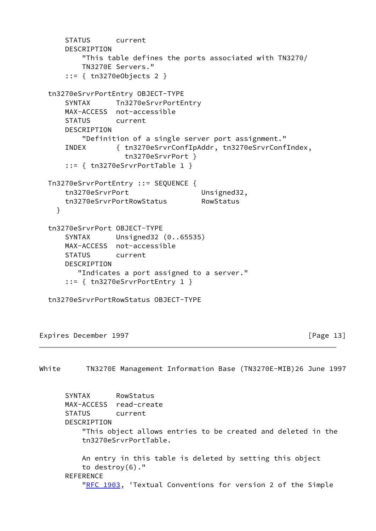```
 STATUS current
      DESCRIPTION
          "This table defines the ports associated with TN3270/
          TN3270E Servers."
      ::= { tn3270eObjects 2 }
  tn3270eSrvrPortEntry OBJECT-TYPE
      SYNTAX Tn3270eSrvrPortEntry
      MAX-ACCESS not-accessible
      STATUS current
      DESCRIPTION
          "Definition of a single server port assignment."
      INDEX { tn3270eSrvrConfIpAddr, tn3270eSrvrConfIndex,
                   tn3270eSrvrPort }
      ::= { tn3270eSrvrPortTable 1 }
  Tn3270eSrvrPortEntry ::= SEQUENCE {
     tn3270eSrvrPort Unsigned32,
      tn3270eSrvrPortRowStatus RowStatus
    }
  tn3270eSrvrPort OBJECT-TYPE
      SYNTAX Unsigned32 (0..65535)
      MAX-ACCESS not-accessible
      STATUS current
      DESCRIPTION
         "Indicates a port assigned to a server."
      ::= { tn3270eSrvrPortEntry 1 }
  tn3270eSrvrPortRowStatus OBJECT-TYPE
Expires December 1997 Expires December 1997
```
White TN3270E Management Information Base (TN3270E-MIB)26 June 1997 SYNTAX RowStatus MAX-ACCESS read-create STATUS current DESCRIPTION "This object allows entries to be created and deleted in the tn3270eSrvrPortTable. An entry in this table is deleted by setting this object to destroy(6)." **REFERENCE** ["RFC 1903](https://datatracker.ietf.org/doc/pdf/rfc1903), 'Textual Conventions for version 2 of the Simple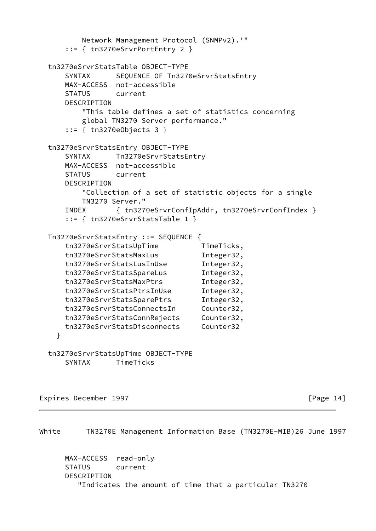```
 Network Management Protocol (SNMPv2).'"
    ::= { tn3270eSrvrPortEntry 2 }
 tn3270eSrvrStatsTable OBJECT-TYPE
   SYNTAX SEQUENCE OF Tn3270eSrvrStatsEntry
    MAX-ACCESS not-accessible
    STATUS current
    DESCRIPTION
        "This table defines a set of statistics concerning
        global TN3270 Server performance."
    ::= { tn3270eObjects 3 }
 tn3270eSrvrStatsEntry OBJECT-TYPE
    SYNTAX Tn3270eSrvrStatsEntry
    MAX-ACCESS not-accessible
    STATUS current
    DESCRIPTION
        "Collection of a set of statistic objects for a single
        TN3270 Server."
    INDEX { tn3270eSrvrConfIpAddr, tn3270eSrvrConfIndex }
    ::= { tn3270eSrvrStatsTable 1 }
 Tn3270eSrvrStatsEntry ::= SEQUENCE {
   tn3270eSrvrStatsUpTime TimeTicks,
    tn3270eSrvrStatsMaxLus Integer32,
    tn3270eSrvrStatsLusInUse Integer32,
    tn3270eSrvrStatsSpareLus Integer32,
    tn3270eSrvrStatsMaxPtrs Integer32,
    tn3270eSrvrStatsPtrsInUse Integer32,
    tn3270eSrvrStatsSparePtrs Integer32,
    tn3270eSrvrStatsConnectsIn Counter32,
    tn3270eSrvrStatsConnRejects Counter32,
    tn3270eSrvrStatsDisconnects Counter32
  }
 tn3270eSrvrStatsUpTime OBJECT-TYPE
    SYNTAX TimeTicks
```
Expires December 1997 **Expires** December 1997

White TN3270E Management Information Base (TN3270E-MIB)26 June 1997

 MAX-ACCESS read-only STATUS current DESCRIPTION "Indicates the amount of time that a particular TN3270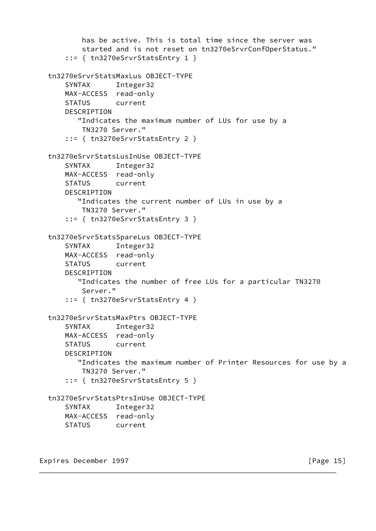```
 has be active. This is total time since the server was
         started and is not reset on tn3270eSrvrConfOperStatus."
     ::= { tn3270eSrvrStatsEntry 1 }
 tn3270eSrvrStatsMaxLus OBJECT-TYPE
     SYNTAX Integer32
    MAX-ACCESS read-only
    STATUS current
    DESCRIPTION
        "Indicates the maximum number of LUs for use by a
        TN3270 Server."
     ::= { tn3270eSrvrStatsEntry 2 }
 tn3270eSrvrStatsLusInUse OBJECT-TYPE
     SYNTAX Integer32
    MAX-ACCESS read-only
     STATUS current
     DESCRIPTION
        "Indicates the current number of LUs in use by a
        TN3270 Server."
     ::= { tn3270eSrvrStatsEntry 3 }
 tn3270eSrvrStatsSpareLus OBJECT-TYPE
     SYNTAX Integer32
     MAX-ACCESS read-only
    STATUS current
    DESCRIPTION
        "Indicates the number of free LUs for a particular TN3270
         Server."
     ::= { tn3270eSrvrStatsEntry 4 }
 tn3270eSrvrStatsMaxPtrs OBJECT-TYPE
     SYNTAX Integer32
    MAX-ACCESS read-only
    STATUS current
     DESCRIPTION
        "Indicates the maximum number of Printer Resources for use by a
         TN3270 Server."
     ::= { tn3270eSrvrStatsEntry 5 }
 tn3270eSrvrStatsPtrsInUse OBJECT-TYPE
     SYNTAX Integer32
    MAX-ACCESS read-only
    STATUS current
```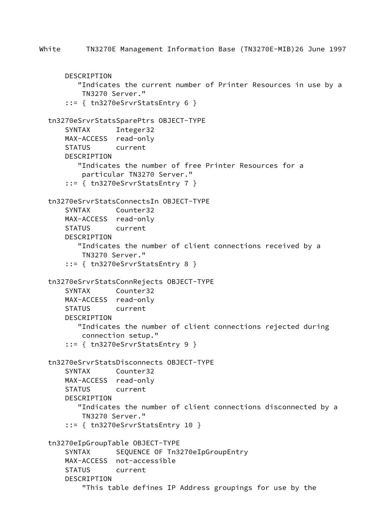```
 DESCRIPTION
        "Indicates the current number of Printer Resources in use by a
         TN3270 Server."
     ::= { tn3270eSrvrStatsEntry 6 }
 tn3270eSrvrStatsSparePtrs OBJECT-TYPE
     SYNTAX Integer32
    MAX-ACCESS read-only
     STATUS current
    DESCRIPTION
        "Indicates the number of free Printer Resources for a
        particular TN3270 Server."
     ::= { tn3270eSrvrStatsEntry 7 }
 tn3270eSrvrStatsConnectsIn OBJECT-TYPE
     SYNTAX Counter32
    MAX-ACCESS read-only
    STATUS current
     DESCRIPTION
        "Indicates the number of client connections received by a
        TN3270 Server."
     ::= { tn3270eSrvrStatsEntry 8 }
 tn3270eSrvrStatsConnRejects OBJECT-TYPE
     SYNTAX Counter32
    MAX-ACCESS read-only
    STATUS current
    DESCRIPTION
        "Indicates the number of client connections rejected during
         connection setup."
     ::= { tn3270eSrvrStatsEntry 9 }
 tn3270eSrvrStatsDisconnects OBJECT-TYPE
     SYNTAX Counter32
    MAX-ACCESS read-only
     STATUS current
    DESCRIPTION
        "Indicates the number of client connections disconnected by a
        TN3270 Server."
     ::= { tn3270eSrvrStatsEntry 10 }
 tn3270eIpGroupTable OBJECT-TYPE
    SYNTAX SEQUENCE OF Tn3270eIpGroupEntry
    MAX-ACCESS not-accessible
     STATUS current
     DESCRIPTION
         "This table defines IP Address groupings for use by the
```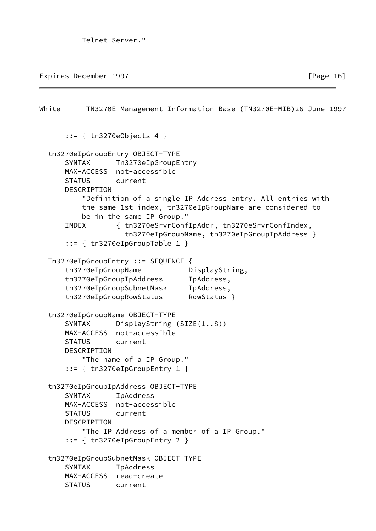Telnet Server."

Expires December 1997 **Expires**  $\left[$  Page 16]

White TN3270E Management Information Base (TN3270E-MIB)26 June 1997 ::= { tn3270eObjects 4 } tn3270eIpGroupEntry OBJECT-TYPE SYNTAX Tn3270eIpGroupEntry MAX-ACCESS not-accessible STATUS current DESCRIPTION "Definition of a single IP Address entry. All entries with the same 1st index, tn3270eIpGroupName are considered to be in the same IP Group." INDEX { tn3270eSrvrConfIpAddr, tn3270eSrvrConfIndex, tn3270eIpGroupName, tn3270eIpGroupIpAddress } ::= { tn3270eIpGroupTable 1 } Tn3270eIpGroupEntry ::= SEQUENCE { tn3270eIpGroupName DisplayString, tn3270eIpGroupIpAddress IpAddress, tn3270eIpGroupSubnetMask IpAddress, tn3270eIpGroupRowStatus RowStatus } tn3270eIpGroupName OBJECT-TYPE SYNTAX DisplayString (SIZE(1..8)) MAX-ACCESS not-accessible STATUS current DESCRIPTION "The name of a IP Group." ::= { tn3270eIpGroupEntry 1 } tn3270eIpGroupIpAddress OBJECT-TYPE SYNTAX IpAddress MAX-ACCESS not-accessible STATUS current DESCRIPTION "The IP Address of a member of a IP Group." ::= { tn3270eIpGroupEntry 2 } tn3270eIpGroupSubnetMask OBJECT-TYPE SYNTAX IpAddress MAX-ACCESS read-create STATUS current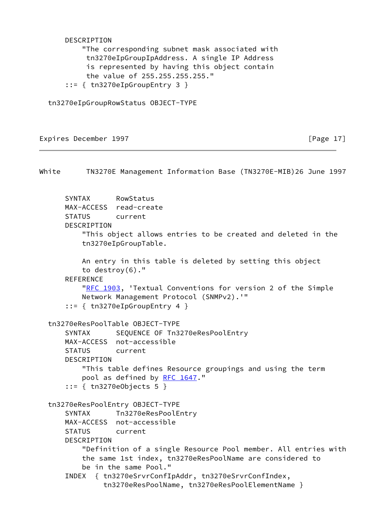DESCRIPTION "The corresponding subnet mask associated with tn3270eIpGroupIpAddress. A single IP Address is represented by having this object contain the value of 255.255.255.255." ::= { tn3270eIpGroupEntry 3 }

tn3270eIpGroupRowStatus OBJECT-TYPE

## Expires December 1997 **Expires** December 1997

White TN3270E Management Information Base (TN3270E-MIB)26 June 1997 SYNTAX RowStatus MAX-ACCESS read-create STATUS current DESCRIPTION "This object allows entries to be created and deleted in the tn3270eIpGroupTable. An entry in this table is deleted by setting this object to destroy(6)." **REFERENCE** ["RFC 1903](https://datatracker.ietf.org/doc/pdf/rfc1903), 'Textual Conventions for version 2 of the Simple Network Management Protocol (SNMPv2).'" ::= { tn3270eIpGroupEntry 4 } tn3270eResPoolTable OBJECT-TYPE SYNTAX SEQUENCE OF Tn3270eResPoolEntry MAX-ACCESS not-accessible STATUS current DESCRIPTION "This table defines Resource groupings and using the term pool as defined by [RFC 1647](https://datatracker.ietf.org/doc/pdf/rfc1647)." ::= { tn3270eObjects 5 } tn3270eResPoolEntry OBJECT-TYPE SYNTAX Tn3270eResPoolEntry MAX-ACCESS not-accessible STATUS current DESCRIPTION "Definition of a single Resource Pool member. All entries with the same 1st index, tn3270eResPoolName are considered to be in the same Pool." INDEX { tn3270eSrvrConfIpAddr, tn3270eSrvrConfIndex, tn3270eResPoolName, tn3270eResPoolElementName }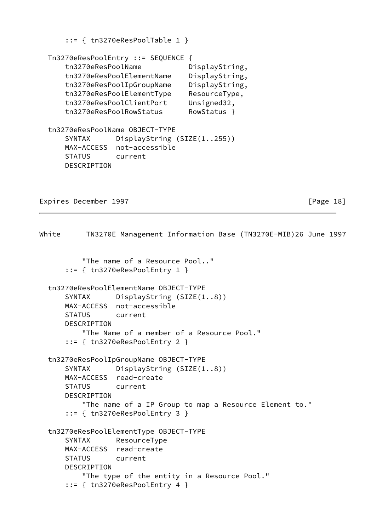::= { tn3270eResPoolTable 1 }

```
 Tn3270eResPoolEntry ::= SEQUENCE {
    tn3270eResPoolName DisplayString,
    tn3270eResPoolElementName DisplayString,
    tn3270eResPoolIpGroupName DisplayString,
    tn3270eResPoolElementType ResourceType,
    tn3270eResPoolClientPort Unsigned32,
    tn3270eResPoolRowStatus RowStatus }
 tn3270eResPoolName OBJECT-TYPE
   SYNTAX DisplayString (SIZE(1..255))
    MAX-ACCESS not-accessible
    STATUS current
    DESCRIPTION
```
Expires December 1997 **Expires** December 1997

```
White TN3270E Management Information Base (TN3270E-MIB)26 June 1997
           "The name of a Resource Pool.."
       ::= { tn3270eResPoolEntry 1 }
  tn3270eResPoolElementName OBJECT-TYPE
       SYNTAX DisplayString (SIZE(1..8))
      MAX-ACCESS not-accessible
      STATUS current
      DESCRIPTION
           "The Name of a member of a Resource Pool."
       ::= { tn3270eResPoolEntry 2 }
  tn3270eResPoolIpGroupName OBJECT-TYPE
       SYNTAX DisplayString (SIZE(1..8))
      MAX-ACCESS read-create
      STATUS current
      DESCRIPTION
           "The name of a IP Group to map a Resource Element to."
       ::= { tn3270eResPoolEntry 3 }
  tn3270eResPoolElementType OBJECT-TYPE
       SYNTAX ResourceType
      MAX-ACCESS read-create
      STATUS current
      DESCRIPTION
           "The type of the entity in a Resource Pool."
       ::= { tn3270eResPoolEntry 4 }
```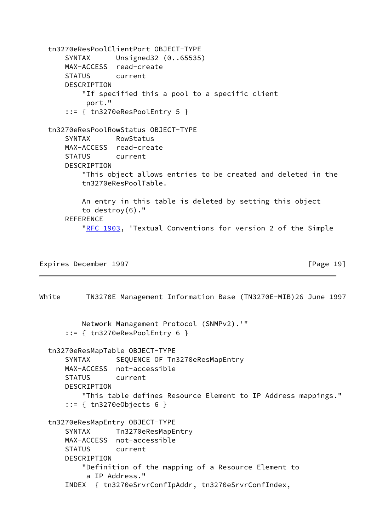```
 tn3270eResPoolClientPort OBJECT-TYPE
     SYNTAX Unsigned32 (0..65535)
     MAX-ACCESS read-create
    STATUS current
     DESCRIPTION
         "If specified this a pool to a specific client
          port."
     ::= { tn3270eResPoolEntry 5 }
 tn3270eResPoolRowStatus OBJECT-TYPE
     SYNTAX RowStatus
    MAX-ACCESS read-create
     STATUS current
     DESCRIPTION
         "This object allows entries to be created and deleted in the
         tn3270eResPoolTable.
         An entry in this table is deleted by setting this object
         to destroy(6)."
     REFERENCE
        "RFC 1903, 'Textual Conventions for version 2 of the Simple
```
Expires December 1997 **Expires** December 1997

```
White TN3270E Management Information Base (TN3270E-MIB)26 June 1997
          Network Management Protocol (SNMPv2).'"
       ::= { tn3270eResPoolEntry 6 }
  tn3270eResMapTable OBJECT-TYPE
      SYNTAX SEQUENCE OF Tn3270eResMapEntry
      MAX-ACCESS not-accessible
      STATUS current
      DESCRIPTION
           "This table defines Resource Element to IP Address mappings."
       ::= { tn3270eObjects 6 }
  tn3270eResMapEntry OBJECT-TYPE
      SYNTAX Tn3270eResMapEntry
      MAX-ACCESS not-accessible
      STATUS current
      DESCRIPTION
           "Definition of the mapping of a Resource Element to
            a IP Address."
       INDEX { tn3270eSrvrConfIpAddr, tn3270eSrvrConfIndex,
```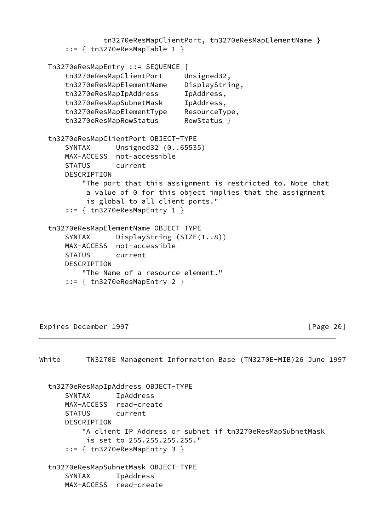```
 tn3270eResMapClientPort, tn3270eResMapElementName }
     ::= { tn3270eResMapTable 1 }
 Tn3270eResMapEntry ::= SEQUENCE {
    tn3270eResMapClientPort Unsigned32,
    tn3270eResMapElementName DisplayString,
     tn3270eResMapIpAddress IpAddress,
     tn3270eResMapSubnetMask IpAddress,
     tn3270eResMapElementType ResourceType,
     tn3270eResMapRowStatus RowStatus }
 tn3270eResMapClientPort OBJECT-TYPE
     SYNTAX Unsigned32 (0..65535)
    MAX-ACCESS not-accessible
    STATUS current
    DESCRIPTION
         "The port that this assignment is restricted to. Note that
          a value of 0 for this object implies that the assignment
          is global to all client ports."
     ::= { tn3270eResMapEntry 1 }
 tn3270eResMapElementName OBJECT-TYPE
     SYNTAX DisplayString (SIZE(1..8))
    MAX-ACCESS not-accessible
    STATUS current
    DESCRIPTION
         "The Name of a resource element."
     ::= { tn3270eResMapEntry 2 }
```
Expires December 1997 **Expires** December 1997

White TN3270E Management Information Base (TN3270E-MIB)26 June 1997 tn3270eResMapIpAddress OBJECT-TYPE SYNTAX IpAddress MAX-ACCESS read-create STATUS current DESCRIPTION "A client IP Address or subnet if tn3270eResMapSubnetMask is set to 255.255.255.255." ::= { tn3270eResMapEntry 3 } tn3270eResMapSubnetMask OBJECT-TYPE SYNTAX IpAddress MAX-ACCESS read-create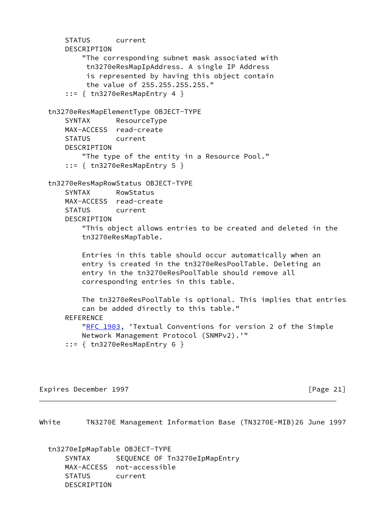STATUS current DESCRIPTION "The corresponding subnet mask associated with tn3270eResMapIpAddress. A single IP Address is represented by having this object contain the value of 255.255.255.255." ::= { tn3270eResMapEntry 4 } tn3270eResMapElementType OBJECT-TYPE SYNTAX ResourceType MAX-ACCESS read-create STATUS current DESCRIPTION "The type of the entity in a Resource Pool." ::= { tn3270eResMapEntry 5 } tn3270eResMapRowStatus OBJECT-TYPE SYNTAX RowStatus MAX-ACCESS read-create STATUS current DESCRIPTION "This object allows entries to be created and deleted in the tn3270eResMapTable. Entries in this table should occur automatically when an entry is created in the tn3270eResPoolTable. Deleting an entry in the tn3270eResPoolTable should remove all corresponding entries in this table. The tn3270eResPoolTable is optional. This implies that entries can be added directly to this table." REFERENCE ["RFC 1903](https://datatracker.ietf.org/doc/pdf/rfc1903), 'Textual Conventions for version 2 of the Simple Network Management Protocol (SNMPv2).'" ::= { tn3270eResMapEntry 6 }

Expires December 1997 [Page 21]

White TN3270E Management Information Base (TN3270E-MIB)26 June 1997

 tn3270eIpMapTable OBJECT-TYPE SYNTAX SEQUENCE OF Tn3270eIpMapEntry MAX-ACCESS not-accessible STATUS current DESCRIPTION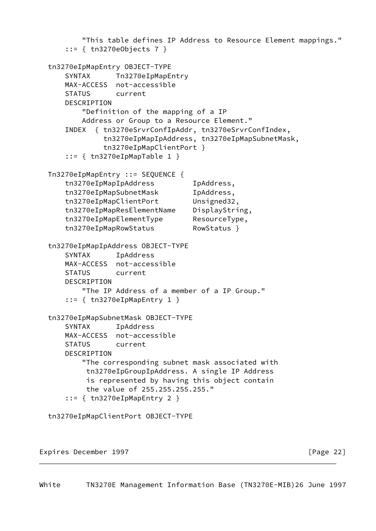```
 "This table defines IP Address to Resource Element mappings."
     ::= { tn3270eObjects 7 }
 tn3270eIpMapEntry OBJECT-TYPE
    SYNTAX Tn3270eIpMapEntry
    MAX-ACCESS not-accessible
    STATUS current
     DESCRIPTION
         "Definition of the mapping of a IP
        Address or Group to a Resource Element."
     INDEX { tn3270eSrvrConfIpAddr, tn3270eSrvrConfIndex,
             tn3270eIpMapIpAddress, tn3270eIpMapSubnetMask,
             tn3270eIpMapClientPort }
     ::= { tn3270eIpMapTable 1 }
 Tn3270eIpMapEntry ::= SEQUENCE {
     tn3270eIpMapIpAddress IpAddress,
     tn3270eIpMapSubnetMask IpAddress,
     tn3270eIpMapClientPort Unsigned32,
     tn3270eIpMapResElementName DisplayString,
     tn3270eIpMapElementType ResourceType,
     tn3270eIpMapRowStatus RowStatus }
 tn3270eIpMapIpAddress OBJECT-TYPE
     SYNTAX IpAddress
    MAX-ACCESS not-accessible
    STATUS current
    DESCRIPTION
         "The IP Address of a member of a IP Group."
     ::= { tn3270eIpMapEntry 1 }
 tn3270eIpMapSubnetMask OBJECT-TYPE
     SYNTAX IpAddress
    MAX-ACCESS not-accessible
    STATUS current
     DESCRIPTION
         "The corresponding subnet mask associated with
          tn3270eIpGroupIpAddress. A single IP Address
          is represented by having this object contain
          the value of 255.255.255.255."
     ::= { tn3270eIpMapEntry 2 }
 tn3270eIpMapClientPort OBJECT-TYPE
```
Expires December 1997 **Expires** 22]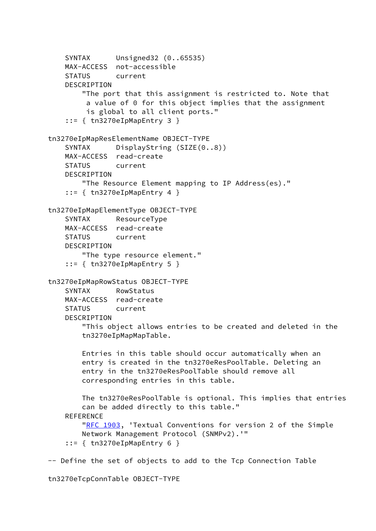```
 SYNTAX Unsigned32 (0..65535)
     MAX-ACCESS not-accessible
     STATUS current
     DESCRIPTION
         "The port that this assignment is restricted to. Note that
          a value of 0 for this object implies that the assignment
          is global to all client ports."
    ::= { tn3270eIpMapEntry 3 }
 tn3270eIpMapResElementName OBJECT-TYPE
    SYNTAX DisplayString (SIZE(0..8))
    MAX-ACCESS read-create
     STATUS current
    DESCRIPTION
         "The Resource Element mapping to IP Address(es)."
    ::= { tn3270eIpMapEntry 4 }
 tn3270eIpMapElementType OBJECT-TYPE
     SYNTAX ResourceType
    MAX-ACCESS read-create
     STATUS current
    DESCRIPTION
         "The type resource element."
     ::= { tn3270eIpMapEntry 5 }
 tn3270eIpMapRowStatus OBJECT-TYPE
     SYNTAX RowStatus
     MAX-ACCESS read-create
     STATUS current
    DESCRIPTION
         "This object allows entries to be created and deleted in the
         tn3270eIpMapMapTable.
         Entries in this table should occur automatically when an
         entry is created in the tn3270eResPoolTable. Deleting an
         entry in the tn3270eResPoolTable should remove all
         corresponding entries in this table.
         The tn3270eResPoolTable is optional. This implies that entries
         can be added directly to this table."
    REFERENCE
        "RFC 1903, 'Textual Conventions for version 2 of the Simple
         Network Management Protocol (SNMPv2).'"
     ::= { tn3270eIpMapEntry 6 }
 -- Define the set of objects to add to the Tcp Connection Table
```
tn3270eTcpConnTable OBJECT-TYPE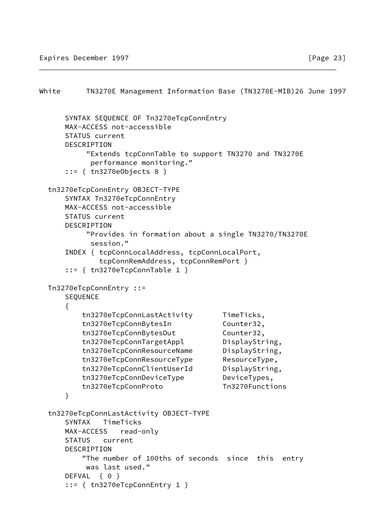```
White TN3270E Management Information Base (TN3270E-MIB)26 June 1997
      SYNTAX SEQUENCE OF Tn3270eTcpConnEntry
      MAX-ACCESS not-accessible
      STATUS current
      DESCRIPTION
           "Extends tcpConnTable to support TN3270 and TN3270E
            performance monitoring."
      ::= { tn3270eObjects 8 }
  tn3270eTcpConnEntry OBJECT-TYPE
      SYNTAX Tn3270eTcpConnEntry
      MAX-ACCESS not-accessible
      STATUS current
      DESCRIPTION
           "Provides in formation about a single TN3270/TN3270E
            session."
      INDEX { tcpConnLocalAddress, tcpConnLocalPort,
              tcpConnRemAddress, tcpConnRemPort }
      ::= { tn3270eTcpConnTable 1 }
  Tn3270eTcpConnEntry ::=
      SEQUENCE
      {
          tn3270eTcpConnLastActivity TimeTicks,
         tn3270eTcpConnBytesIn Counter32,
         tn3270eTcpConnBytesOut Counter32,
         tn3270eTcpConnTargetAppl DisplayString,
          tn3270eTcpConnResourceName DisplayString,
          tn3270eTcpConnResourceType ResourceType,
          tn3270eTcpConnClientUserId DisplayString,
          tn3270eTcpConnDeviceType DeviceTypes,
          tn3270eTcpConnProto Tn3270Functions
      }
```

```
 tn3270eTcpConnLastActivity OBJECT-TYPE
     SYNTAX TimeTicks
     MAX-ACCESS read-only
     STATUS current
     DESCRIPTION
         "The number of 100ths of seconds since this entry
         was last used."
    DEFVAL { 0 }
     ::= { tn3270eTcpConnEntry 1 }
```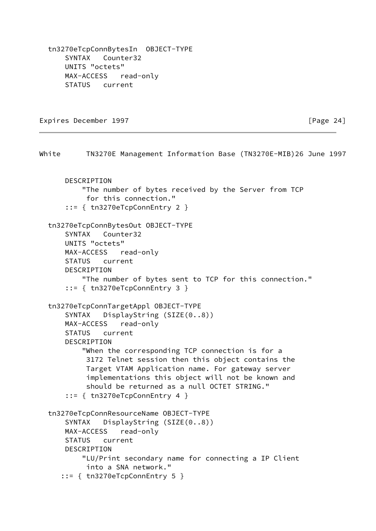tn3270eTcpConnBytesIn OBJECT-TYPE SYNTAX Counter32 UNITS "octets" MAX-ACCESS read-only STATUS current

Expires December 1997 **Expires** December 1997

White TN3270E Management Information Base (TN3270E-MIB)26 June 1997 DESCRIPTION "The number of bytes received by the Server from TCP for this connection." ::= { tn3270eTcpConnEntry 2 } tn3270eTcpConnBytesOut OBJECT-TYPE SYNTAX Counter32 UNITS "octets" MAX-ACCESS read-only STATUS current DESCRIPTION "The number of bytes sent to TCP for this connection." ::= { tn3270eTcpConnEntry 3 } tn3270eTcpConnTargetAppl OBJECT-TYPE SYNTAX DisplayString (SIZE(0..8)) MAX-ACCESS read-only STATUS current DESCRIPTION "When the corresponding TCP connection is for a 3172 Telnet session then this object contains the Target VTAM Application name. For gateway server implementations this object will not be known and should be returned as a null OCTET STRING." ::= { tn3270eTcpConnEntry 4 } tn3270eTcpConnResourceName OBJECT-TYPE SYNTAX DisplayString (SIZE(0..8)) MAX-ACCESS read-only STATUS current DESCRIPTION "LU/Print secondary name for connecting a IP Client into a SNA network."  $::=$  { tn3270eTcpConnEntry 5 }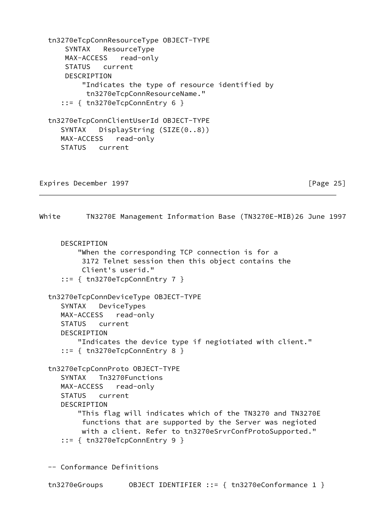tn3270eTcpConnResourceType OBJECT-TYPE SYNTAX ResourceType MAX-ACCESS read-only STATUS current DESCRIPTION "Indicates the type of resource identified by tn3270eTcpConnResourceName."  $::=$  { tn3270eTcpConnEntry 6 } tn3270eTcpConnClientUserId OBJECT-TYPE SYNTAX DisplayString (SIZE(0..8)) MAX-ACCESS read-only STATUS current

Expires December 1997 **Expires** 25]

White TN3270E Management Information Base (TN3270E-MIB)26 June 1997

**DESCRIPTION**  "When the corresponding TCP connection is for a 3172 Telnet session then this object contains the Client's userid." ::= { tn3270eTcpConnEntry 7 }

```
 tn3270eTcpConnDeviceType OBJECT-TYPE
    SYNTAX DeviceTypes
    MAX-ACCESS read-only
    STATUS current
    DESCRIPTION
        "Indicates the device type if negiotiated with client."
    ::= { tn3270eTcpConnEntry 8 }
```

```
 tn3270eTcpConnProto OBJECT-TYPE
    SYNTAX Tn3270Functions
    MAX-ACCESS read-only
    STATUS current
    DESCRIPTION
        "This flag will indicates which of the TN3270 and TN3270E
         functions that are supported by the Server was negioted
         with a client. Refer to tn3270eSrvrConfProtoSupported."
    ::= { tn3270eTcpConnEntry 9 }
```
-- Conformance Definitions

tn3270eGroups OBJECT IDENTIFIER ::= { tn3270eConformance 1 }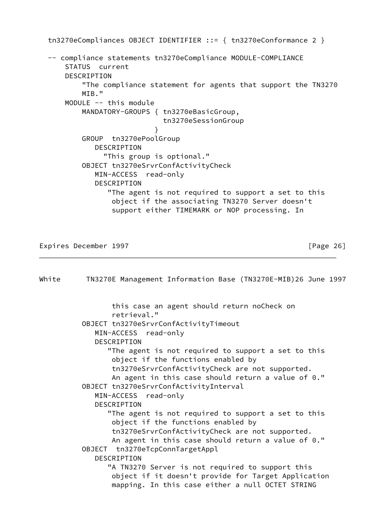tn3270eCompliances OBJECT IDENTIFIER ::= { tn3270eConformance 2 } -- compliance statements tn3270eCompliance MODULE-COMPLIANCE STATUS current DESCRIPTION "The compliance statement for agents that support the TN3270 MTR." MODULE -- this module MANDATORY-GROUPS { tn3270eBasicGroup, tn3270eSessionGroup } GROUP tn3270ePoolGroup DESCRIPTION "This group is optional." OBJECT tn3270eSrvrConfActivityCheck MIN-ACCESS read-only DESCRIPTION "The agent is not required to support a set to this object if the associating TN3270 Server doesn't support either TIMEMARK or NOP processing. In

Expires December 1997 **Expires** 26]

White TN3270E Management Information Base (TN3270E-MIB)26 June 1997 this case an agent should return noCheck on retrieval." OBJECT tn3270eSrvrConfActivityTimeout MIN-ACCESS read-only DESCRIPTION "The agent is not required to support a set to this object if the functions enabled by tn3270eSrvrConfActivityCheck are not supported. An agent in this case should return a value of 0." OBJECT tn3270eSrvrConfActivityInterval MIN-ACCESS read-only DESCRIPTION "The agent is not required to support a set to this object if the functions enabled by tn3270eSrvrConfActivityCheck are not supported. An agent in this case should return a value of 0." OBJECT tn3270eTcpConnTargetAppl DESCRIPTION "A TN3270 Server is not required to support this object if it doesn't provide for Target Application mapping. In this case either a null OCTET STRING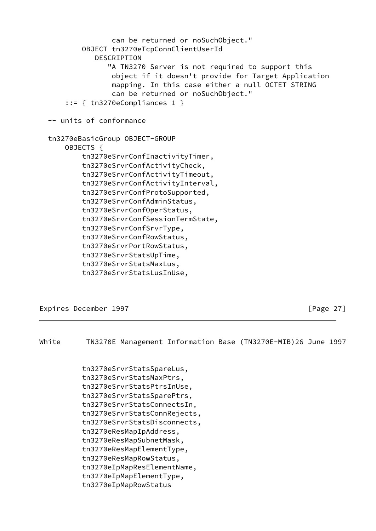```
 can be returned or noSuchObject."
         OBJECT tn3270eTcpConnClientUserId
            DESCRIPTION
               "A TN3270 Server is not required to support this
                object if it doesn't provide for Target Application
                mapping. In this case either a null OCTET STRING
                can be returned or noSuchObject."
     ::= { tn3270eCompliances 1 }
 -- units of conformance
 tn3270eBasicGroup OBJECT-GROUP
     OBJECTS {
         tn3270eSrvrConfInactivityTimer,
         tn3270eSrvrConfActivityCheck,
         tn3270eSrvrConfActivityTimeout,
         tn3270eSrvrConfActivityInterval,
         tn3270eSrvrConfProtoSupported,
         tn3270eSrvrConfAdminStatus,
         tn3270eSrvrConfOperStatus,
         tn3270eSrvrConfSessionTermState,
         tn3270eSrvrConfSrvrType,
         tn3270eSrvrConfRowStatus,
         tn3270eSrvrPortRowStatus,
         tn3270eSrvrStatsUpTime,
         tn3270eSrvrStatsMaxLus,
         tn3270eSrvrStatsLusInUse,
```
Expires December 1997 **Expires** December 1997

White TN3270E Management Information Base (TN3270E-MIB)26 June 1997

 tn3270eSrvrStatsSpareLus, tn3270eSrvrStatsMaxPtrs, tn3270eSrvrStatsPtrsInUse, tn3270eSrvrStatsSparePtrs, tn3270eSrvrStatsConnectsIn, tn3270eSrvrStatsConnRejects, tn3270eSrvrStatsDisconnects, tn3270eResMapIpAddress, tn3270eResMapSubnetMask, tn3270eResMapElementType, tn3270eResMapRowStatus, tn3270eIpMapResElementName, tn3270eIpMapElementType, tn3270eIpMapRowStatus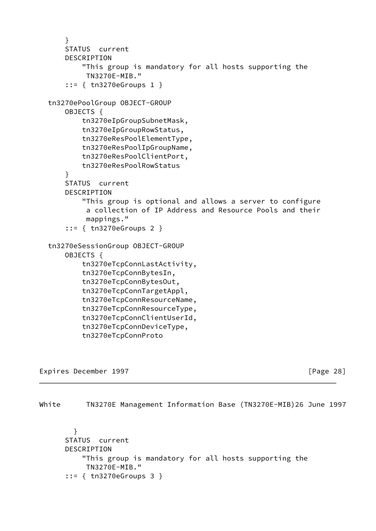```
 }
     STATUS current
     DESCRIPTION
         "This group is mandatory for all hosts supporting the
          TN3270E-MIB."
     ::= { tn3270eGroups 1 }
 tn3270ePoolGroup OBJECT-GROUP
     OBJECTS {
         tn3270eIpGroupSubnetMask,
         tn3270eIpGroupRowStatus,
         tn3270eResPoolElementType,
         tn3270eResPoolIpGroupName,
         tn3270eResPoolClientPort,
         tn3270eResPoolRowStatus
     }
     STATUS current
     DESCRIPTION
         "This group is optional and allows a server to configure
          a collection of IP Address and Resource Pools and their
          mappings."
     ::= { tn3270eGroups 2 }
 tn3270eSessionGroup OBJECT-GROUP
     OBJECTS {
         tn3270eTcpConnLastActivity,
         tn3270eTcpConnBytesIn,
         tn3270eTcpConnBytesOut,
         tn3270eTcpConnTargetAppl,
         tn3270eTcpConnResourceName,
         tn3270eTcpConnResourceType,
         tn3270eTcpConnClientUserId,
         tn3270eTcpConnDeviceType,
         tn3270eTcpConnProto
```
Expires December 1997 **Expires** December 1997

<span id="page-31-0"></span>White TN3270E Management Information Base (TN3270E-MIB)26 June 1997

 } STATUS current DESCRIPTION "This group is mandatory for all hosts supporting the TN3270E-MIB." ::= { tn3270eGroups 3 }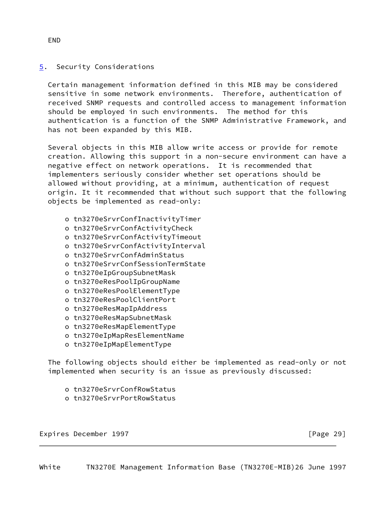# <span id="page-32-1"></span>[5](#page-32-1). Security Considerations

 Certain management information defined in this MIB may be considered sensitive in some network environments. Therefore, authentication of received SNMP requests and controlled access to management information should be employed in such environments. The method for this authentication is a function of the SNMP Administrative Framework, and has not been expanded by this MIB.

 Several objects in this MIB allow write access or provide for remote creation. Allowing this support in a non-secure environment can have a negative effect on network operations. It is recommended that implementers seriously consider whether set operations should be allowed without providing, at a minimum, authentication of request origin. It it recommended that without such support that the following objects be implemented as read-only:

- o tn3270eSrvrConfInactivityTimer
- o tn3270eSrvrConfActivityCheck
- o tn3270eSrvrConfActivityTimeout
- o tn3270eSrvrConfActivityInterval
- o tn3270eSrvrConfAdminStatus
- o tn3270eSrvrConfSessionTermState
- o tn3270eIpGroupSubnetMask
- o tn3270eResPoolIpGroupName
- o tn3270eResPoolElementType
- o tn3270eResPoolClientPort
- o tn3270eResMapIpAddress
- o tn3270eResMapSubnetMask
- o tn3270eResMapElementType
- o tn3270eIpMapResElementName
- o tn3270eIpMapElementType

 The following objects should either be implemented as read-only or not implemented when security is an issue as previously discussed:

- o tn3270eSrvrConfRowStatus
- o tn3270eSrvrPortRowStatus

Expires December 1997 **Expires** December 1997

<span id="page-32-0"></span>White TN3270E Management Information Base (TN3270E-MIB)26 June 1997

END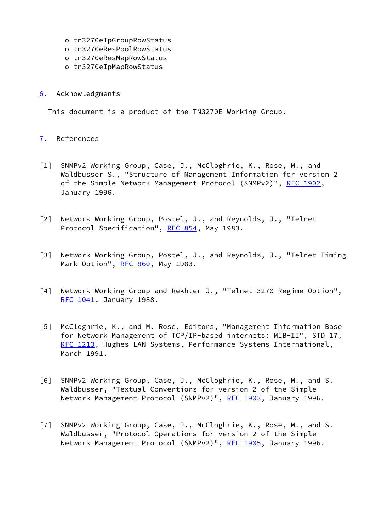- o tn3270eIpGroupRowStatus
- o tn3270eResPoolRowStatus
- o tn3270eResMapRowStatus
- o tn3270eIpMapRowStatus
- <span id="page-33-5"></span>[6](#page-33-5). Acknowledgments

This document is a product of the TN3270E Working Group.

# <span id="page-33-6"></span>[7](#page-33-6). References

- <span id="page-33-0"></span>[1] SNMPv2 Working Group, Case, J., McCloghrie, K., Rose, M., and Waldbusser S., "Structure of Management Information for version 2 of the Simple Network Management Protocol (SNMPv2)", [RFC 1902,](https://datatracker.ietf.org/doc/pdf/rfc1902) January 1996.
- [2] Network Working Group, Postel, J., and Reynolds, J., "Telnet Protocol Specification", [RFC 854](https://datatracker.ietf.org/doc/pdf/rfc854), May 1983.
- <span id="page-33-4"></span>[3] Network Working Group, Postel, J., and Reynolds, J., "Telnet Timing Mark Option", [RFC 860](https://datatracker.ietf.org/doc/pdf/rfc860), May 1983.
- [4] Network Working Group and Rekhter J., "Telnet 3270 Regime Option", [RFC 1041](https://datatracker.ietf.org/doc/pdf/rfc1041), January 1988.
- <span id="page-33-1"></span>[5] McCloghrie, K., and M. Rose, Editors, "Management Information Base for Network Management of TCP/IP-based internets: MIB-II", STD 17, [RFC 1213](https://datatracker.ietf.org/doc/pdf/rfc1213), Hughes LAN Systems, Performance Systems International, March 1991.
- <span id="page-33-3"></span>[6] SNMPv2 Working Group, Case, J., McCloghrie, K., Rose, M., and S. Waldbusser, "Textual Conventions for version 2 of the Simple Network Management Protocol (SNMPv2)", [RFC 1903](https://datatracker.ietf.org/doc/pdf/rfc1903), January 1996.
- <span id="page-33-2"></span>[7] SNMPv2 Working Group, Case, J., McCloghrie, K., Rose, M., and S. Waldbusser, "Protocol Operations for version 2 of the Simple Network Management Protocol (SNMPv2)", [RFC 1905](https://datatracker.ietf.org/doc/pdf/rfc1905), January 1996.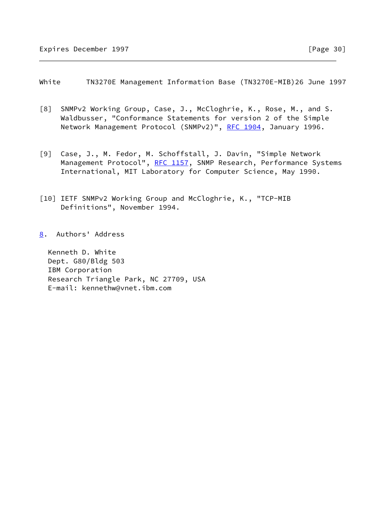<span id="page-34-0"></span>White TN3270E Management Information Base (TN3270E-MIB)26 June 1997

- <span id="page-34-2"></span>[8] SNMPv2 Working Group, Case, J., McCloghrie, K., Rose, M., and S. Waldbusser, "Conformance Statements for version 2 of the Simple Network Management Protocol (SNMPv2)", [RFC 1904](https://datatracker.ietf.org/doc/pdf/rfc1904), January 1996.
- <span id="page-34-1"></span>[9] Case, J., M. Fedor, M. Schoffstall, J. Davin, "Simple Network Management Protocol", [RFC 1157](https://datatracker.ietf.org/doc/pdf/rfc1157), SNMP Research, Performance Systems International, MIT Laboratory for Computer Science, May 1990.
- [10] IETF SNMPv2 Working Group and McCloghrie, K., "TCP-MIB Definitions", November 1994.
- <span id="page-34-3"></span>[8](#page-34-3). Authors' Address

 Kenneth D. White Dept. G80/Bldg 503 IBM Corporation Research Triangle Park, NC 27709, USA E-mail: kennethw@vnet.ibm.com